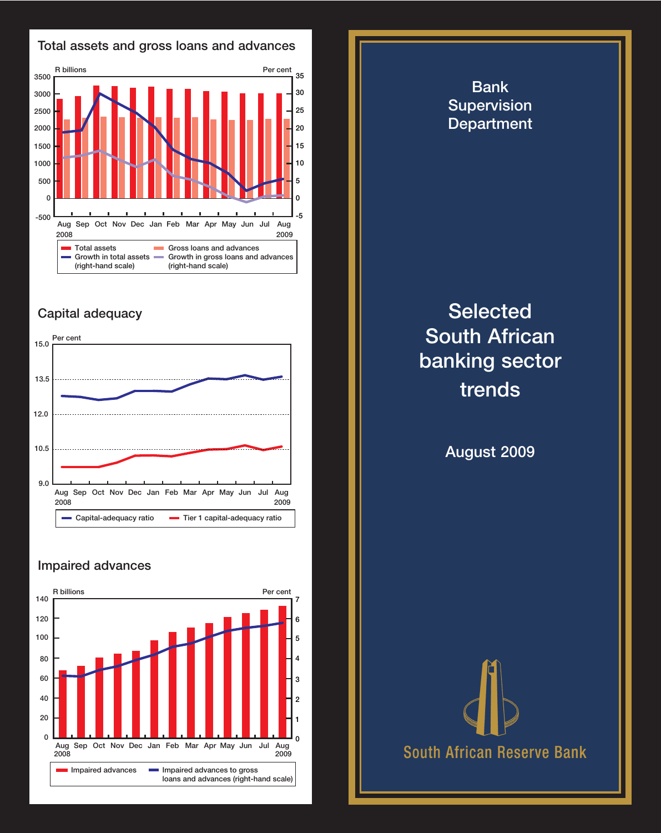



## **Capital adequacy**



## **Impaired advances**